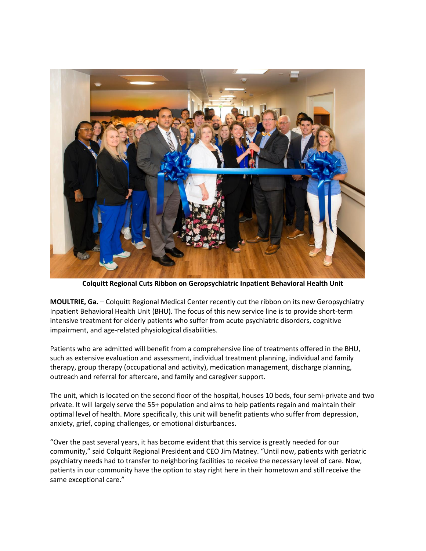

**Colquitt Regional Cuts Ribbon on Geropsychiatric Inpatient Behavioral Health Unit**

**MOULTRIE, Ga.** – Colquitt Regional Medical Center recently cut the ribbon on its new Geropsychiatry Inpatient Behavioral Health Unit (BHU). The focus of this new service line is to provide short-term intensive treatment for elderly patients who suffer from acute psychiatric disorders, cognitive impairment, and age-related physiological disabilities.

Patients who are admitted will benefit from a comprehensive line of treatments offered in the BHU, such as extensive evaluation and assessment, individual treatment planning, individual and family therapy, group therapy (occupational and activity), medication management, discharge planning, outreach and referral for aftercare, and family and caregiver support.

The unit, which is located on the second floor of the hospital, houses 10 beds, four semi-private and two private. It will largely serve the 55+ population and aims to help patients regain and maintain their optimal level of health. More specifically, this unit will benefit patients who suffer from depression, anxiety, grief, coping challenges, or emotional disturbances.

"Over the past several years, it has become evident that this service is greatly needed for our community," said Colquitt Regional President and CEO Jim Matney. "Until now, patients with geriatric psychiatry needs had to transfer to neighboring facilities to receive the necessary level of care. Now, patients in our community have the option to stay right here in their hometown and still receive the same exceptional care."